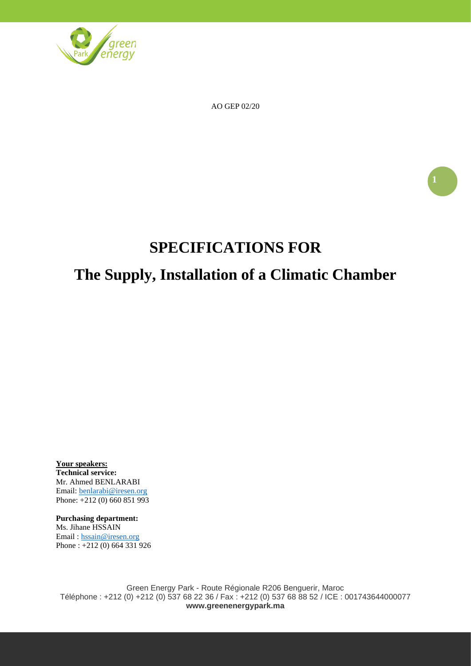

AO GEP 02/20

# **SPECIFICATIONS FOR**

# **The Supply, Installation of a Climatic Chamber**

**Your speakers: Technical service:** Mr. Ahmed BENLARABI Email: [benlarabi@iresen.org](mailto:benlarabi@iresen.org) Phone: +212 (0) 660 851 993

**Purchasing department:** Ms. Jihane HSSAIN Email : [hssain@iresen.org](mailto:hssain@iresen.org) Phone : +212 (0) 664 331 926

Green Energy Park - Route Régionale R206 Benguerir, Maroc Téléphone : +212 (0) +212 (0) 537 68 22 36 / Fax : +212 (0) 537 68 88 52 / ICE : 001743644000077 **www.greenenergypark.ma**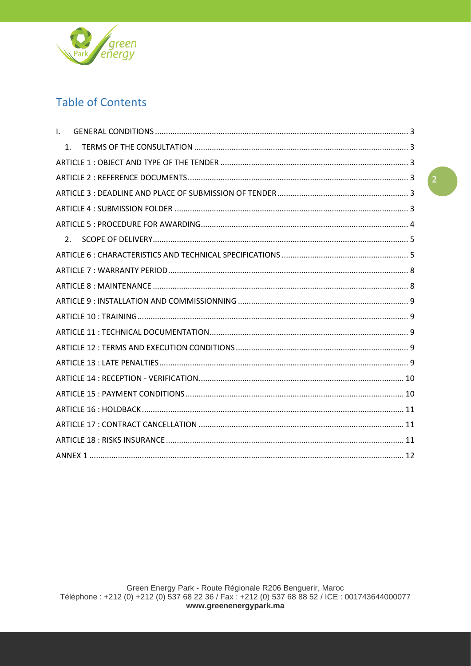

# **Table of Contents**

| L. |                |  |  |  |  |
|----|----------------|--|--|--|--|
|    | 1 <sub>1</sub> |  |  |  |  |
|    |                |  |  |  |  |
|    |                |  |  |  |  |
|    |                |  |  |  |  |
|    |                |  |  |  |  |
|    |                |  |  |  |  |
|    | 2.             |  |  |  |  |
|    |                |  |  |  |  |
|    |                |  |  |  |  |
|    |                |  |  |  |  |
|    |                |  |  |  |  |
|    |                |  |  |  |  |
|    |                |  |  |  |  |
|    |                |  |  |  |  |
|    |                |  |  |  |  |
|    |                |  |  |  |  |
|    |                |  |  |  |  |
|    |                |  |  |  |  |
|    |                |  |  |  |  |
|    |                |  |  |  |  |
|    |                |  |  |  |  |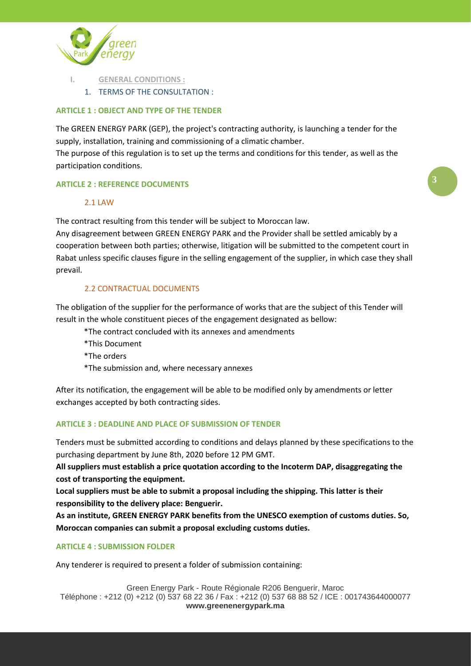

- **I. GENERAL CONDITIONS :**
	- 1. TERMS OF THE CONSULTATION :

# **ARTICLE 1 : OBJECT AND TYPE OF THE TENDER**

The GREEN ENERGY PARK (GEP), the project's contracting authority, is launching a tender for the supply, installation, training and commissioning of a climatic chamber.

The purpose of this regulation is to set up the terms and conditions for this tender, as well as the participation conditions.

#### **ARTICLE 2 : REFERENCE DOCUMENTS**

#### 2.1 LAW

The contract resulting from this tender will be subject to Moroccan law.

Any disagreement between GREEN ENERGY PARK and the Provider shall be settled amicably by a cooperation between both parties; otherwise, litigation will be submitted to the competent court in Rabat unless specific clauses figure in the selling engagement of the supplier, in which case they shall prevail.

#### 2.2 CONTRACTUAL DOCUMENTS

The obligation of the supplier for the performance of works that are the subject of this Tender will result in the whole constituent pieces of the engagement designated as bellow:

\*The contract concluded with its annexes and amendments

\*This Document

\*The orders

\*The submission and, where necessary annexes

After its notification, the engagement will be able to be modified only by amendments or letter exchanges accepted by both contracting sides.

#### **ARTICLE 3 : DEADLINE AND PLACE OF SUBMISSION OF TENDER**

Tenders must be submitted according to conditions and delays planned by these specifications to the purchasing department by June 8th, 2020 before 12 PM GMT.

**All suppliers must establish a price quotation according to the Incoterm DAP, disaggregating the cost of transporting the equipment.**

**Local suppliers must be able to submit a proposal including the shipping. This latter is their responsibility to the delivery place: Benguerir.**

**As an institute, GREEN ENERGY PARK benefits from the UNESCO exemption of customs duties. So, Moroccan companies can submit a proposal excluding customs duties.**

#### **ARTICLE 4 : SUBMISSION FOLDER**

Any tenderer is required to present a folder of submission containing: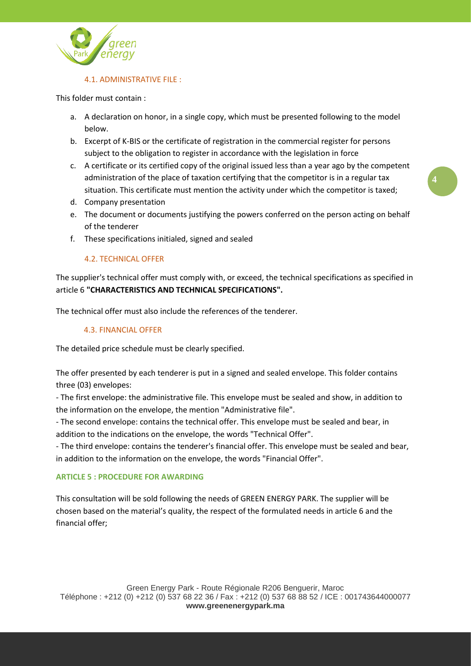

#### 4.1. ADMINISTRATIVE FILE :

This folder must contain :

- a. A declaration on honor, in a single copy, which must be presented following to the model below.
- b. Excerpt of K-BIS or the certificate of registration in the commercial register for persons subject to the obligation to register in accordance with the legislation in force
- c. A certificate or its certified copy of the original issued less than a year ago by the competent administration of the place of taxation certifying that the competitor is in a regular tax situation. This certificate must mention the activity under which the competitor is taxed;
- d. Company presentation
- e. The document or documents justifying the powers conferred on the person acting on behalf of the tenderer
- f. These specifications initialed, signed and sealed

#### 4.2. TECHNICAL OFFER

The supplier's technical offer must comply with, or exceed, the technical specifications as specified in article 6 **"CHARACTERISTICS AND TECHNICAL SPECIFICATIONS".**

The technical offer must also include the references of the tenderer.

#### 4.3. FINANCIAL OFFER

The detailed price schedule must be clearly specified.

The offer presented by each tenderer is put in a signed and sealed envelope. This folder contains three (03) envelopes:

- The first envelope: the administrative file. This envelope must be sealed and show, in addition to the information on the envelope, the mention "Administrative file".

- The second envelope: contains the technical offer. This envelope must be sealed and bear, in addition to the indications on the envelope, the words "Technical Offer".

- The third envelope: contains the tenderer's financial offer. This envelope must be sealed and bear, in addition to the information on the envelope, the words "Financial Offer".

#### **ARTICLE 5 : PROCEDURE FOR AWARDING**

This consultation will be sold following the needs of GREEN ENERGY PARK. The supplier will be chosen based on the material's quality, the respect of the formulated needs in article 6 and the financial offer;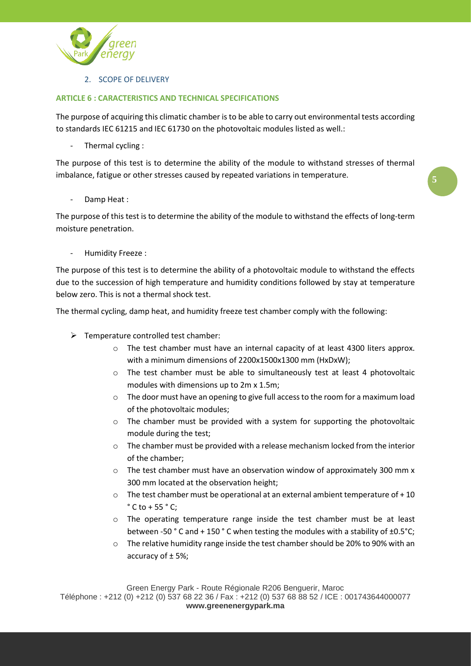

2. SCOPE OF DELIVERY

### **ARTICLE 6 : CARACTERISTICS AND TECHNICAL SPECIFICATIONS**

The purpose of acquiring this climatic chamber is to be able to carry out environmental tests according to standards IEC 61215 and IEC 61730 on the photovoltaic modules listed as well.:

Thermal cycling :

The purpose of this test is to determine the ability of the module to withstand stresses of thermal imbalance, fatigue or other stresses caused by repeated variations in temperature.

Damp Heat:

The purpose of this test is to determine the ability of the module to withstand the effects of long-term moisture penetration.

- Humidity Freeze :

The purpose of this test is to determine the ability of a photovoltaic module to withstand the effects due to the succession of high temperature and humidity conditions followed by stay at temperature below zero. This is not a thermal shock test.

The thermal cycling, damp heat, and humidity freeze test chamber comply with the following:

- $\triangleright$  Temperature controlled test chamber:
	- $\circ$  The test chamber must have an internal capacity of at least 4300 liters approx. with a minimum dimensions of 2200x1500x1300 mm (HxDxW);
	- $\circ$  The test chamber must be able to simultaneously test at least 4 photovoltaic modules with dimensions up to 2m x 1.5m;
	- $\circ$  The door must have an opening to give full access to the room for a maximum load of the photovoltaic modules;
	- o The chamber must be provided with a system for supporting the photovoltaic module during the test;
	- $\circ$  The chamber must be provided with a release mechanism locked from the interior of the chamber;
	- $\circ$  The test chamber must have an observation window of approximately 300 mm x 300 mm located at the observation height;
	- $\circ$  The test chamber must be operational at an external ambient temperature of +10  $\degree$  C to + 55  $\degree$  C:
	- $\circ$  The operating temperature range inside the test chamber must be at least between -50 °C and + 150 °C when testing the modules with a stability of ±0.5 °C;
	- $\circ$  The relative humidity range inside the test chamber should be 20% to 90% with an accuracy of ± 5%;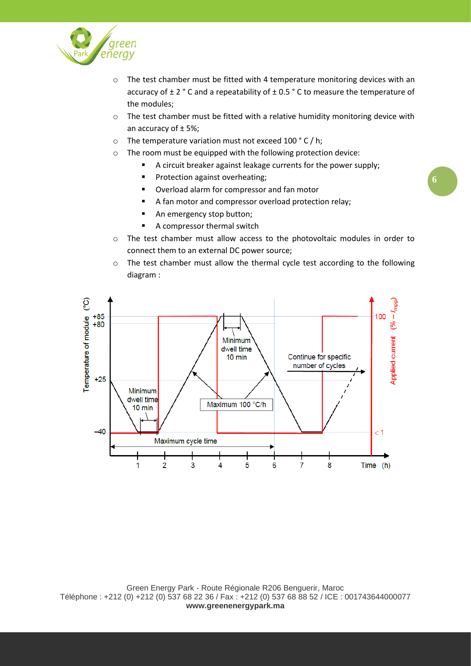

- $\circ$  The test chamber must be fitted with 4 temperature monitoring devices with an accuracy of  $\pm 2$  ° C and a repeatability of  $\pm 0.5$  ° C to measure the temperature of the modules;
- o The test chamber must be fitted with a relative humidity monitoring device with an accuracy of ± 5%;
- o The temperature variation must not exceed 100 ° C / h;
- o The room must be equipped with the following protection device:
	- A circuit breaker against leakage currents for the power supply;
		- **■** Protection against overheating;
		- Overload alarm for compressor and fan motor
		- A fan motor and compressor overload protection relay;
		- An emergency stop button;
		- A compressor thermal switch
- o The test chamber must allow access to the photovoltaic modules in order to connect them to an external DC power source;
- o The test chamber must allow the thermal cycle test according to the following diagram :

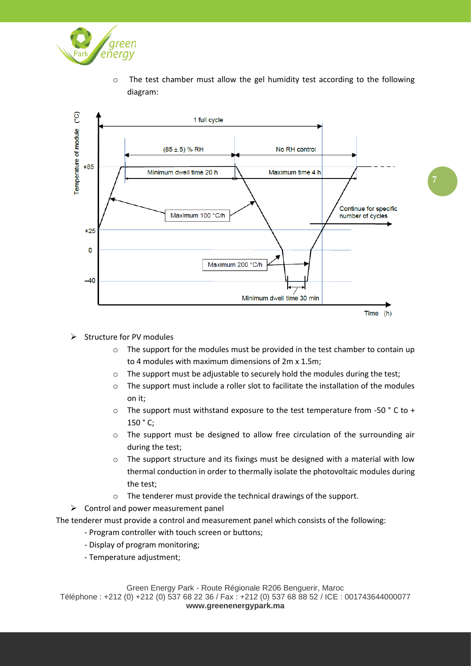

 $\circ$  The test chamber must allow the gel humidity test according to the following diagram:



- ➢ Structure for PV modules
	- $\circ$  The support for the modules must be provided in the test chamber to contain up to 4 modules with maximum dimensions of 2m x 1.5m;
	- o The support must be adjustable to securely hold the modules during the test;
	- $\circ$  The support must include a roller slot to facilitate the installation of the modules on it;
	- $\circ$  The support must withstand exposure to the test temperature from -50  $\degree$  C to + 150 ° C;
	- $\circ$  The support must be designed to allow free circulation of the surrounding air during the test;
	- $\circ$  The support structure and its fixings must be designed with a material with low thermal conduction in order to thermally isolate the photovoltaic modules during the test;
	- o The tenderer must provide the technical drawings of the support.
- $\triangleright$  Control and power measurement panel

The tenderer must provide a control and measurement panel which consists of the following:

- Program controller with touch screen or buttons;
- Display of program monitoring;
- Temperature adjustment;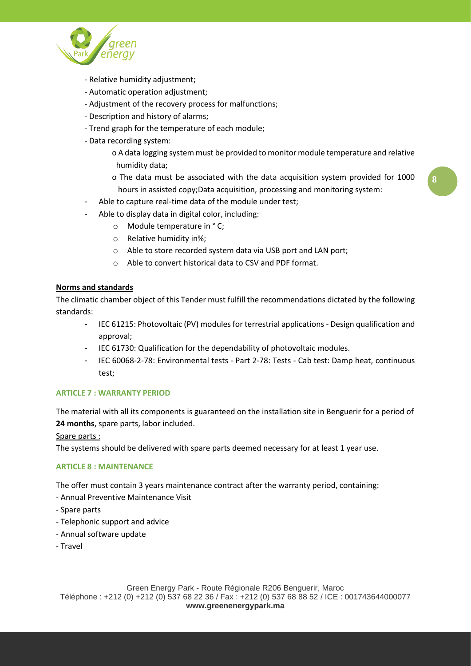

- Relative humidity adjustment;
- Automatic operation adjustment;
- Adjustment of the recovery process for malfunctions;
- Description and history of alarms;
- Trend graph for the temperature of each module;
- Data recording system:
	- o A data logging system must be provided to monitor module temperature and relative humidity data;
	- o The data must be associated with the data acquisition system provided for 1000 hours in assisted copy;Data acquisition, processing and monitoring system:
- Able to capture real-time data of the module under test;
- Able to display data in digital color, including:
	- o Module temperature in ° C;
	- o Relative humidity in%;
	- o Able to store recorded system data via USB port and LAN port;
	- o Able to convert historical data to CSV and PDF format.

#### **Norms and standards**

The climatic chamber object of this Tender must fulfill the recommendations dictated by the following standards:

- IEC 61215: Photovoltaic (PV) modules for terrestrial applications Design qualification and approval;
- IEC 61730: Qualification for the dependability of photovoltaic modules.
- IEC 60068-2-78: Environmental tests Part 2-78: Tests Cab test: Damp heat, continuous test;

#### **ARTICLE 7 : WARRANTY PERIOD**

The material with all its components is guaranteed on the installation site in Benguerir for a period of **24 months**, spare parts, labor included.

Spare parts :

The systems should be delivered with spare parts deemed necessary for at least 1 year use.

#### **ARTICLE 8 : MAINTENANCE**

The offer must contain 3 years maintenance contract after the warranty period, containing:

- Annual Preventive Maintenance Visit
- Spare parts
- Telephonic support and advice
- Annual software update
- Travel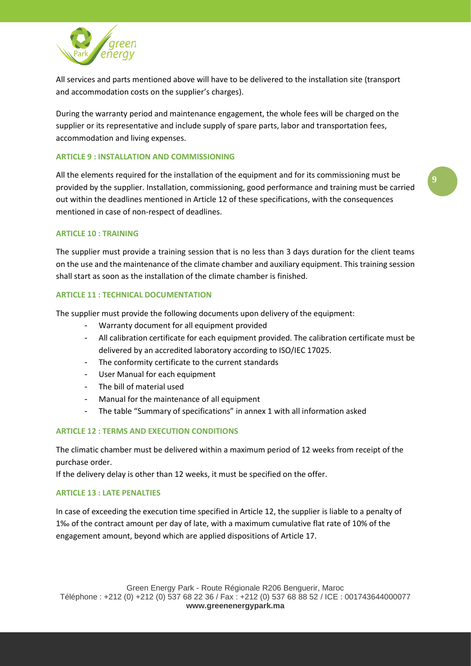

All services and parts mentioned above will have to be delivered to the installation site (transport and accommodation costs on the supplier's charges).

During the warranty period and maintenance engagement, the whole fees will be charged on the supplier or its representative and include supply of spare parts, labor and transportation fees, accommodation and living expenses.

#### **ARTICLE 9 : INSTALLATION AND COMMISSIONING**

All the elements required for the installation of the equipment and for its commissioning must be provided by the supplier. Installation, commissioning, good performance and training must be carried out within the deadlines mentioned in Article 12 of these specifications, with the consequences mentioned in case of non-respect of deadlines.

#### **ARTICLE 10 : TRAINING**

The supplier must provide a training session that is no less than 3 days duration for the client teams on the use and the maintenance of the climate chamber and auxiliary equipment. This training session shall start as soon as the installation of the climate chamber is finished.

#### **ARTICLE 11 : TECHNICAL DOCUMENTATION**

The supplier must provide the following documents upon delivery of the equipment:

- Warranty document for all equipment provided
- All calibration certificate for each equipment provided. The calibration certificate must be delivered by an accredited laboratory according to ISO/IEC 17025.
- The conformity certificate to the current standards
- User Manual for each equipment
- The bill of material used
- Manual for the maintenance of all equipment
- The table "Summary of specifications" in annex 1 with all information asked

#### **ARTICLE 12 : TERMS AND EXECUTION CONDITIONS**

The climatic chamber must be delivered within a maximum period of 12 weeks from receipt of the purchase order.

If the delivery delay is other than 12 weeks, it must be specified on the offer.

#### **ARTICLE 13 : LATE PENALTIES**

In case of exceeding the execution time specified in Article 12, the supplier is liable to a penalty of 1‰ of the contract amount per day of late, with a maximum cumulative flat rate of 10% of the engagement amount, beyond which are applied dispositions of Article 17.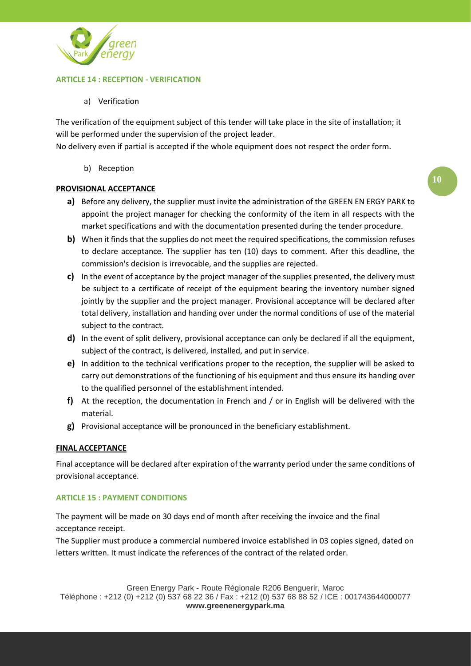

# **ARTICLE 14 : RECEPTION - VERIFICATION**

a) Verification

The verification of the equipment subject of this tender will take place in the site of installation; it will be performed under the supervision of the project leader.

No delivery even if partial is accepted if the whole equipment does not respect the order form.

b) Reception

#### **PROVISIONAL ACCEPTANCE**

- **a)** Before any delivery, the supplier must invite the administration of the GREEN EN ERGY PARK to appoint the project manager for checking the conformity of the item in all respects with the market specifications and with the documentation presented during the tender procedure.
- **b)** When it finds that the supplies do not meet the required specifications, the commission refuses to declare acceptance. The supplier has ten (10) days to comment. After this deadline, the commission's decision is irrevocable, and the supplies are rejected.
- **c)** In the event of acceptance by the project manager of the supplies presented, the delivery must be subject to a certificate of receipt of the equipment bearing the inventory number signed jointly by the supplier and the project manager. Provisional acceptance will be declared after total delivery, installation and handing over under the normal conditions of use of the material subject to the contract.
- **d)** In the event of split delivery, provisional acceptance can only be declared if all the equipment, subject of the contract, is delivered, installed, and put in service.
- **e)** In addition to the technical verifications proper to the reception, the supplier will be asked to carry out demonstrations of the functioning of his equipment and thus ensure its handing over to the qualified personnel of the establishment intended.
- **f)** At the reception, the documentation in French and / or in English will be delivered with the material.
- **g)** Provisional acceptance will be pronounced in the beneficiary establishment.

#### **FINAL ACCEPTANCE**

Final acceptance will be declared after expiration of the warranty period under the same conditions of provisional acceptance*.*

#### **ARTICLE 15 : PAYMENT CONDITIONS**

The payment will be made on 30 days end of month after receiving the invoice and the final acceptance receipt.

The Supplier must produce a commercial numbered invoice established in 03 copies signed, dated on letters written. It must indicate the references of the contract of the related order.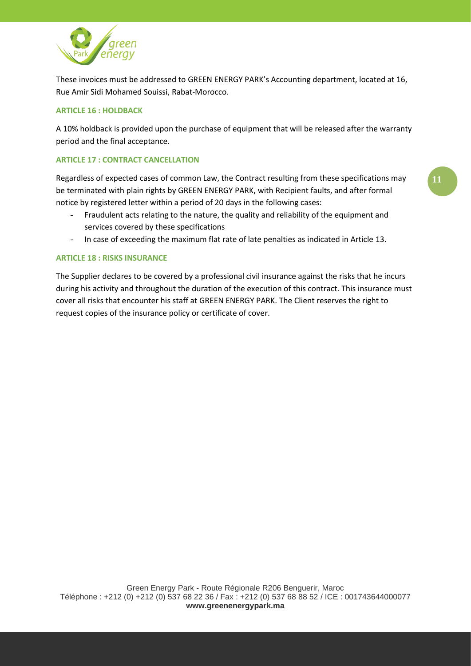

These invoices must be addressed to GREEN ENERGY PARK's Accounting department, located at 16, Rue Amir Sidi Mohamed Souissi, Rabat-Morocco.

# **ARTICLE 16 : HOLDBACK**

A 10% holdback is provided upon the purchase of equipment that will be released after the warranty period and the final acceptance.

# **ARTICLE 17 : CONTRACT CANCELLATION**

Regardless of expected cases of common Law, the Contract resulting from these specifications may be terminated with plain rights by GREEN ENERGY PARK, with Recipient faults, and after formal notice by registered letter within a period of 20 days in the following cases:

- Fraudulent acts relating to the nature, the quality and reliability of the equipment and services covered by these specifications
- In case of exceeding the maximum flat rate of late penalties as indicated in Article 13.

### **ARTICLE 18 : RISKS INSURANCE**

The Supplier declares to be covered by a professional civil insurance against the risks that he incurs during his activity and throughout the duration of the execution of this contract. This insurance must cover all risks that encounter his staff at GREEN ENERGY PARK. The Client reserves the right to request copies of the insurance policy or certificate of cover.